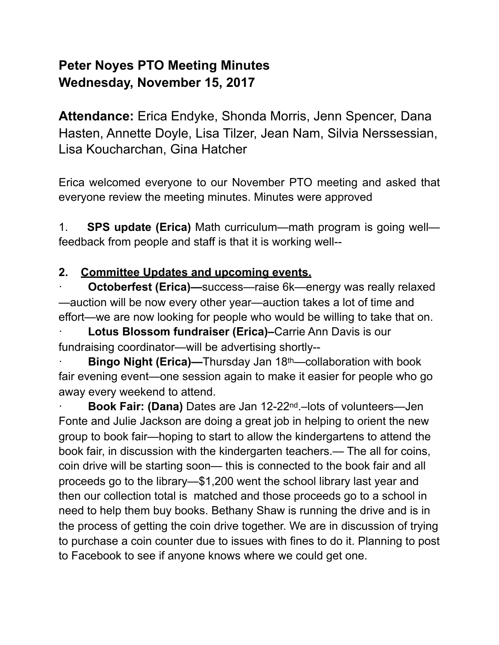# **Peter Noyes PTO Meeting Minutes Wednesday, November 15, 2017**

**Attendance:** Erica Endyke, Shonda Morris, Jenn Spencer, Dana Hasten, Annette Doyle, Lisa Tilzer, Jean Nam, Silvia Nerssessian, Lisa Koucharchan, Gina Hatcher

Erica welcomed everyone to our November PTO meeting and asked that everyone review the meeting minutes. Minutes were approved

1. **SPS update (Erica)** Math curriculum—math program is going well feedback from people and staff is that it is working well--

### **2. Committee Updates and upcoming events.**

**Octoberfest (Erica)—**success—raise 6k—energy was really relaxed —auction will be now every other year—auction takes a lot of time and effort—we are now looking for people who would be willing to take that on.

**Lotus Blossom fundraiser (Erica)–Carrie Ann Davis is our** fundraising coordinator—will be advertising shortly--

**Bingo Night (Erica)—Thursday Jan 18<sup>th</sup>—collaboration with book** fair evening event—one session again to make it easier for people who go away every weekend to attend.

· **Book Fair: (Dana)** Dates are Jan 12-22nd.–lots of volunteers—Jen Fonte and Julie Jackson are doing a great job in helping to orient the new group to book fair—hoping to start to allow the kindergartens to attend the book fair, in discussion with the kindergarten teachers.— The all for coins, coin drive will be starting soon— this is connected to the book fair and all proceeds go to the library—\$1,200 went the school library last year and then our collection total is matched and those proceeds go to a school in need to help them buy books. Bethany Shaw is running the drive and is in the process of getting the coin drive together. We are in discussion of trying to purchase a coin counter due to issues with fines to do it. Planning to post to Facebook to see if anyone knows where we could get one.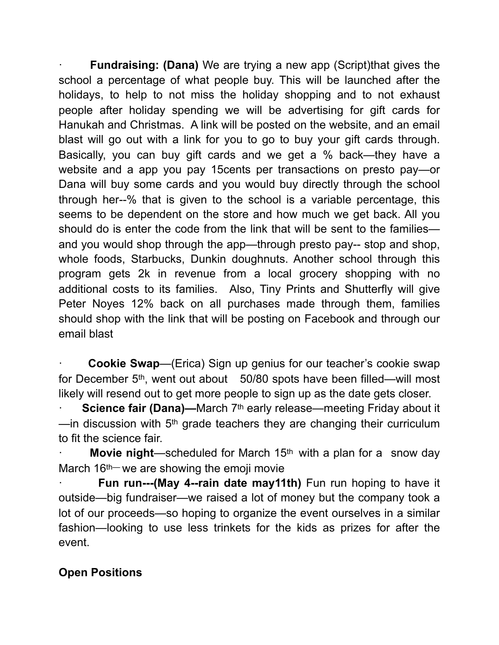**Fundraising: (Dana)** We are trying a new app (Script) that gives the school a percentage of what people buy. This will be launched after the holidays, to help to not miss the holiday shopping and to not exhaust people after holiday spending we will be advertising for gift cards for Hanukah and Christmas. A link will be posted on the website, and an email blast will go out with a link for you to go to buy your gift cards through. Basically, you can buy gift cards and we get a % back—they have a website and a app you pay 15cents per transactions on presto pay—or Dana will buy some cards and you would buy directly through the school through her--% that is given to the school is a variable percentage, this seems to be dependent on the store and how much we get back. All you should do is enter the code from the link that will be sent to the families and you would shop through the app—through presto pay-- stop and shop, whole foods, Starbucks, Dunkin doughnuts. Another school through this program gets 2k in revenue from a local grocery shopping with no additional costs to its families. Also, Tiny Prints and Shutterfly will give Peter Noyes 12% back on all purchases made through them, families should shop with the link that will be posting on Facebook and through our email blast

**Cookie Swap**—(Erica) Sign up genius for our teacher's cookie swap for December 5th, went out about 50/80 spots have been filled—will most likely will resend out to get more people to sign up as the date gets closer.

**Science fair (Dana)—March 7<sup>th</sup> early release—meeting Friday about it** —in discussion with  $5<sup>th</sup>$  grade teachers they are changing their curriculum to fit the science fair.

**Movie night**—scheduled for March 15<sup>th</sup> with a plan for a snow day March 16<sup>th—</sup> we are showing the emoji movie

**Fun run---(May 4--rain date may11th)** Fun run hoping to have it outside—big fundraiser—we raised a lot of money but the company took a lot of our proceeds—so hoping to organize the event ourselves in a similar fashion—looking to use less trinkets for the kids as prizes for after the event.

### **Open Positions**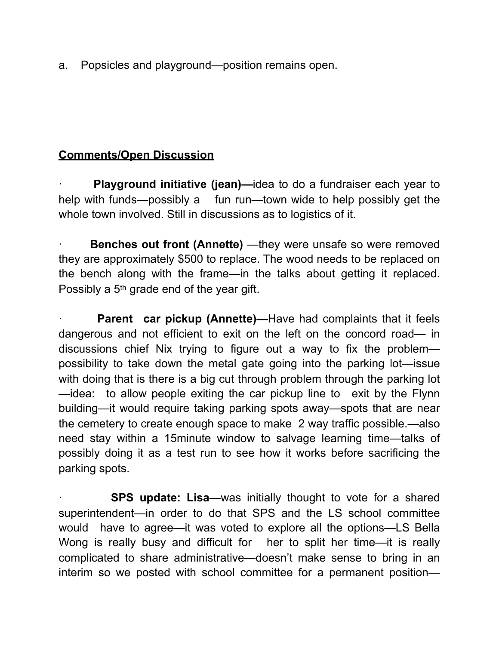a. Popsicles and playground—position remains open.

#### **Comments/Open Discussion**

**Playground initiative (jean)—idea to do a fundraiser each year to** help with funds—possibly a fun run—town wide to help possibly get the whole town involved. Still in discussions as to logistics of it.

**Benches out front (Annette)** —they were unsafe so were removed they are approximately \$500 to replace. The wood needs to be replaced on the bench along with the frame—in the talks about getting it replaced. Possibly a 5<sup>th</sup> grade end of the year gift.

**Parent car pickup (Annette)—Have had complaints that it feels** dangerous and not efficient to exit on the left on the concord road— in discussions chief Nix trying to figure out a way to fix the problem possibility to take down the metal gate going into the parking lot—issue with doing that is there is a big cut through problem through the parking lot —idea: to allow people exiting the car pickup line to exit by the Flynn building—it would require taking parking spots away—spots that are near the cemetery to create enough space to make 2 way traffic possible.—also need stay within a 15minute window to salvage learning time—talks of possibly doing it as a test run to see how it works before sacrificing the parking spots.

**SPS update: Lisa—was initially thought to vote for a shared** superintendent—in order to do that SPS and the LS school committee would have to agree—it was voted to explore all the options—LS Bella Wong is really busy and difficult for her to split her time—it is really complicated to share administrative—doesn't make sense to bring in an interim so we posted with school committee for a permanent position